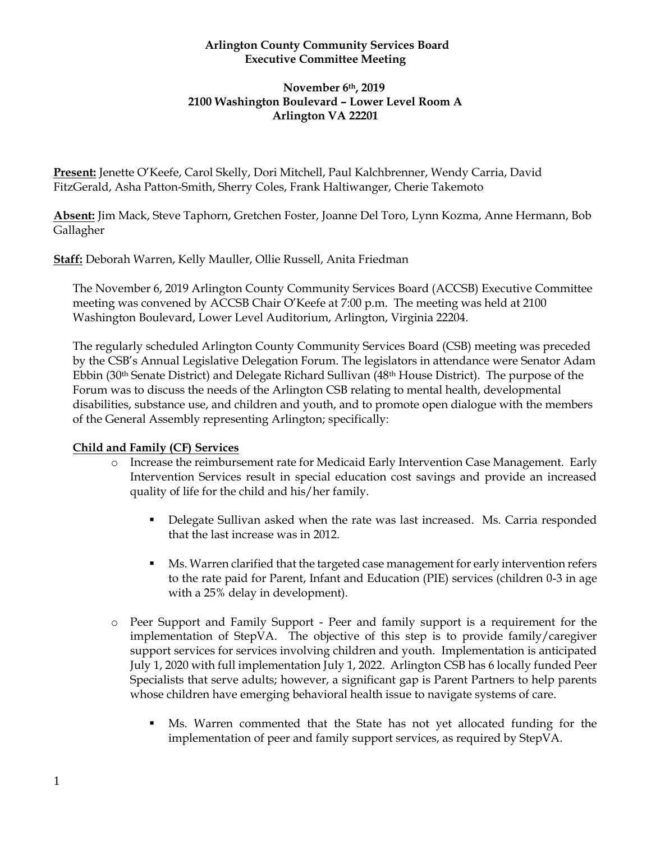## **Arlington County Community Services Board Executive Committee Meeting**

#### **November 6th, 2019 2100 Washington Boulevard – Lower Level Room A Arlington VA 22201**

**Present:** Jenette O'Keefe, Carol Skelly, Dori Mitchell, Paul Kalchbrenner, Wendy Carria, David FitzGerald, Asha Patton-Smith, Sherry Coles, Frank Haltiwanger, Cherie Takemoto

**Absent:** Jim Mack, Steve Taphorn, Gretchen Foster, Joanne Del Toro, Lynn Kozma, Anne Hermann, Bob Gallagher

**Staff:** Deborah Warren, Kelly Mauller, Ollie Russell, Anita Friedman

The November 6, 2019 Arlington County Community Services Board (ACCSB) Executive Committee meeting was convened by ACCSB Chair O'Keefe at 7:00 p.m. The meeting was held at 2100 Washington Boulevard, Lower Level Auditorium, Arlington, Virginia 22204.

The regularly scheduled Arlington County Community Services Board (CSB) meeting was preceded by the CSB's Annual Legislative Delegation Forum. The legislators in attendance were Senator Adam Ebbin (30th Senate District) and Delegate Richard Sullivan (48th House District). The purpose of the Forum was to discuss the needs of the Arlington CSB relating to mental health, developmental disabilities, substance use, and children and youth, and to promote open dialogue with the members of the General Assembly representing Arlington; specifically:

# **Child and Family (CF) Services**

- o Increase the reimbursement rate for Medicaid Early Intervention Case Management. Early Intervention Services result in special education cost savings and provide an increased quality of life for the child and his/her family.
	- **•** Delegate Sullivan asked when the rate was last increased. Ms. Carria responded that the last increase was in 2012.
	- **Ms. Warren clarified that the targeted case management for early intervention refers** to the rate paid for Parent, Infant and Education (PIE) services (children 0-3 in age with a 25% delay in development).
- o Peer Support and Family Support Peer and family support is a requirement for the implementation of StepVA. The objective of this step is to provide family/caregiver support services for services involving children and youth. Implementation is anticipated July 1, 2020 with full implementation July 1, 2022. Arlington CSB has 6 locally funded Peer Specialists that serve adults; however, a significant gap is Parent Partners to help parents whose children have emerging behavioral health issue to navigate systems of care.
	- Ms. Warren commented that the State has not yet allocated funding for the implementation of peer and family support services, as required by StepVA.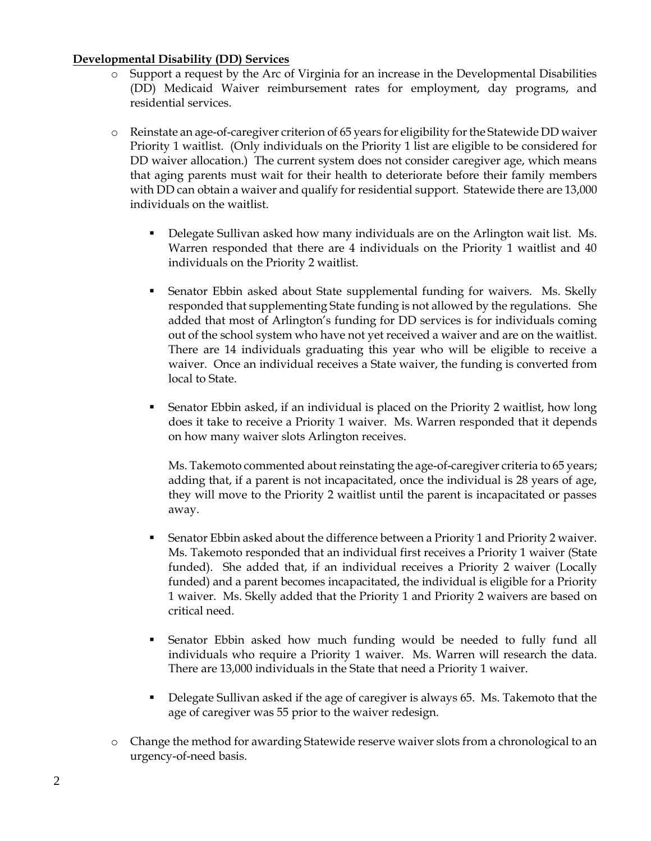#### **Developmental Disability (DD) Services**

- o Support a request by the Arc of Virginia for an increase in the Developmental Disabilities (DD) Medicaid Waiver reimbursement rates for employment, day programs, and residential services.
- Reinstate an age-of-caregiver criterion of 65 years for eligibility for the Statewide DD waiver Priority 1 waitlist. (Only individuals on the Priority 1 list are eligible to be considered for DD waiver allocation.) The current system does not consider caregiver age, which means that aging parents must wait for their health to deteriorate before their family members with DD can obtain a waiver and qualify for residential support. Statewide there are 13,000 individuals on the waitlist.
	- **•** Delegate Sullivan asked how many individuals are on the Arlington wait list. Ms. Warren responded that there are 4 individuals on the Priority 1 waitlist and 40 individuals on the Priority 2 waitlist.
	- **EXECT:** Senator Ebbin asked about State supplemental funding for waivers. Ms. Skelly responded that supplementing State funding is not allowed by the regulations. She added that most of Arlington's funding for DD services is for individuals coming out of the school system who have not yet received a waiver and are on the waitlist. There are 14 individuals graduating this year who will be eligible to receive a waiver. Once an individual receives a State waiver, the funding is converted from local to State.
	- Senator Ebbin asked, if an individual is placed on the Priority 2 waitlist, how long does it take to receive a Priority 1 waiver. Ms. Warren responded that it depends on how many waiver slots Arlington receives.

Ms. Takemoto commented about reinstating the age-of-caregiver criteria to 65 years; adding that, if a parent is not incapacitated, once the individual is 28 years of age, they will move to the Priority 2 waitlist until the parent is incapacitated or passes away.

- **EXECT** Senator Ebbin asked about the difference between a Priority 1 and Priority 2 waiver. Ms. Takemoto responded that an individual first receives a Priority 1 waiver (State funded). She added that, if an individual receives a Priority 2 waiver (Locally funded) and a parent becomes incapacitated, the individual is eligible for a Priority 1 waiver. Ms. Skelly added that the Priority 1 and Priority 2 waivers are based on critical need.
- Senator Ebbin asked how much funding would be needed to fully fund all individuals who require a Priority 1 waiver. Ms. Warren will research the data. There are 13,000 individuals in the State that need a Priority 1 waiver.
- **•** Delegate Sullivan asked if the age of caregiver is always 65. Ms. Takemoto that the age of caregiver was 55 prior to the waiver redesign.
- o Change the method for awarding Statewide reserve waiver slots from a chronological to an urgency-of-need basis.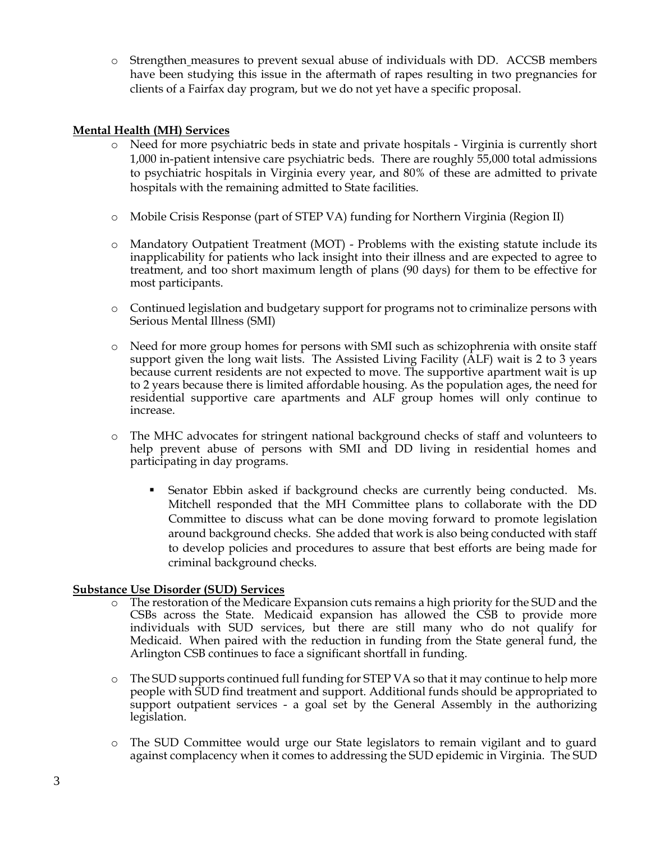o Strengthen measures to prevent sexual abuse of individuals with DD. ACCSB members have been studying this issue in the aftermath of rapes resulting in two pregnancies for clients of a Fairfax day program, but we do not yet have a specific proposal.

#### **Mental Health (MH) Services**

- o Need for more psychiatric beds in state and private hospitals Virginia is currently short 1,000 in-patient intensive care psychiatric beds. There are roughly 55,000 total admissions to psychiatric hospitals in Virginia every year, and 80% of these are admitted to private hospitals with the remaining admitted to State facilities.
- o Mobile Crisis Response (part of STEP VA) funding for Northern Virginia (Region II)
- o Mandatory Outpatient Treatment (MOT) Problems with the existing statute include its inapplicability for patients who lack insight into their illness and are expected to agree to treatment, and too short maximum length of plans (90 days) for them to be effective for most participants.
- o Continued legislation and budgetary support for programs not to criminalize persons with Serious Mental Illness (SMI)
- o Need for more group homes for persons with SMI such as schizophrenia with onsite staff support given the long wait lists. The Assisted Living Facility (ALF) wait is 2 to 3 years because current residents are not expected to move. The supportive apartment wait is up to 2 years because there is limited affordable housing. As the population ages, the need for residential supportive care apartments and ALF group homes will only continue to increase.
- o The MHC advocates for stringent national background checks of staff and volunteers to help prevent abuse of persons with SMI and DD living in residential homes and participating in day programs.
	- **•** Senator Ebbin asked if background checks are currently being conducted. Ms. Mitchell responded that the MH Committee plans to collaborate with the DD Committee to discuss what can be done moving forward to promote legislation around background checks. She added that work is also being conducted with staff to develop policies and procedures to assure that best efforts are being made for criminal background checks.

#### **Substance Use Disorder (SUD) Services**

- o The restoration of the Medicare Expansion cuts remains a high priority for the SUD and the CSBs across the State. Medicaid expansion has allowed the CSB to provide more individuals with SUD services, but there are still many who do not qualify for Medicaid. When paired with the reduction in funding from the State general fund, the Arlington CSB continues to face a significant shortfall in funding.
- o The SUD supports continued full funding for STEP VA so that it may continue to help more people with SUD find treatment and support. Additional funds should be appropriated to support outpatient services - a goal set by the General Assembly in the authorizing legislation.
- o The SUD Committee would urge our State legislators to remain vigilant and to guard against complacency when it comes to addressing the SUD epidemic in Virginia. The SUD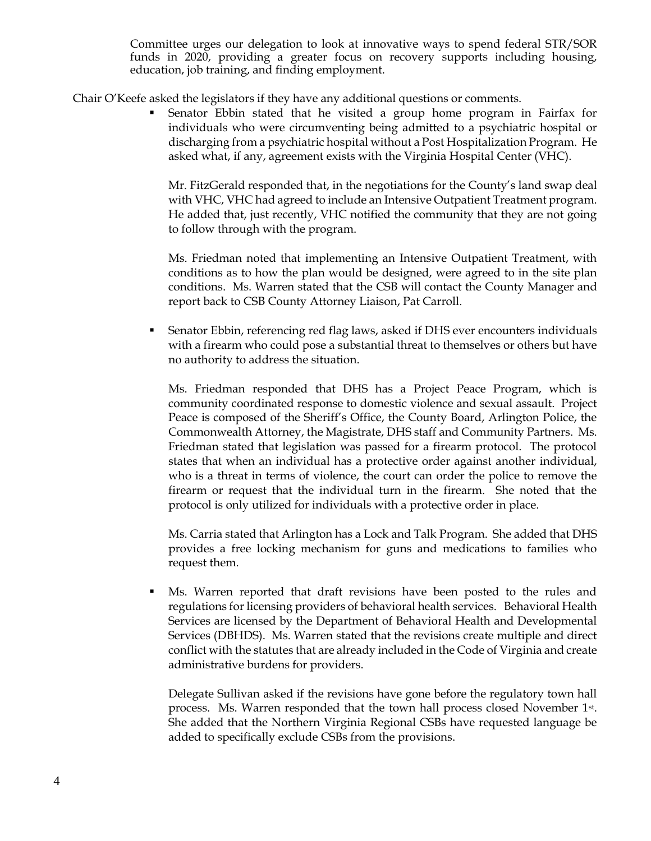Committee urges our delegation to look at innovative ways to spend federal STR/SOR funds in 2020, providing a greater focus on recovery supports including housing, education, job training, and finding employment.

Chair O'Keefe asked the legislators if they have any additional questions or comments.

Senator Ebbin stated that he visited a group home program in Fairfax for individuals who were circumventing being admitted to a psychiatric hospital or discharging from a psychiatric hospital without a Post Hospitalization Program. He asked what, if any, agreement exists with the Virginia Hospital Center (VHC).

Mr. FitzGerald responded that, in the negotiations for the County's land swap deal with VHC, VHC had agreed to include an Intensive Outpatient Treatment program. He added that, just recently, VHC notified the community that they are not going to follow through with the program.

Ms. Friedman noted that implementing an Intensive Outpatient Treatment, with conditions as to how the plan would be designed, were agreed to in the site plan conditions. Ms. Warren stated that the CSB will contact the County Manager and report back to CSB County Attorney Liaison, Pat Carroll.

**EXECUTE:** Senator Ebbin, referencing red flag laws, asked if DHS ever encounters individuals with a firearm who could pose a substantial threat to themselves or others but have no authority to address the situation.

Ms. Friedman responded that DHS has a Project Peace Program, which is community coordinated response to domestic violence and sexual assault. Project Peace is composed of the Sheriff's Office, the County Board, Arlington Police, the Commonwealth Attorney, the Magistrate, DHS staff and Community Partners. Ms. Friedman stated that legislation was passed for a firearm protocol. The protocol states that when an individual has a protective order against another individual, who is a threat in terms of violence, the court can order the police to remove the firearm or request that the individual turn in the firearm. She noted that the protocol is only utilized for individuals with a protective order in place.

Ms. Carria stated that Arlington has a Lock and Talk Program. She added that DHS provides a free locking mechanism for guns and medications to families who request them.

Ms. Warren reported that draft revisions have been posted to the rules and regulations for licensing providers of behavioral health services. Behavioral Health Services are licensed by the Department of Behavioral Health and Developmental Services (DBHDS). Ms. Warren stated that the revisions create multiple and direct conflict with the statutes that are already included in the Code of Virginia and create administrative burdens for providers.

Delegate Sullivan asked if the revisions have gone before the regulatory town hall process. Ms. Warren responded that the town hall process closed November 1st . She added that the Northern Virginia Regional CSBs have requested language be added to specifically exclude CSBs from the provisions.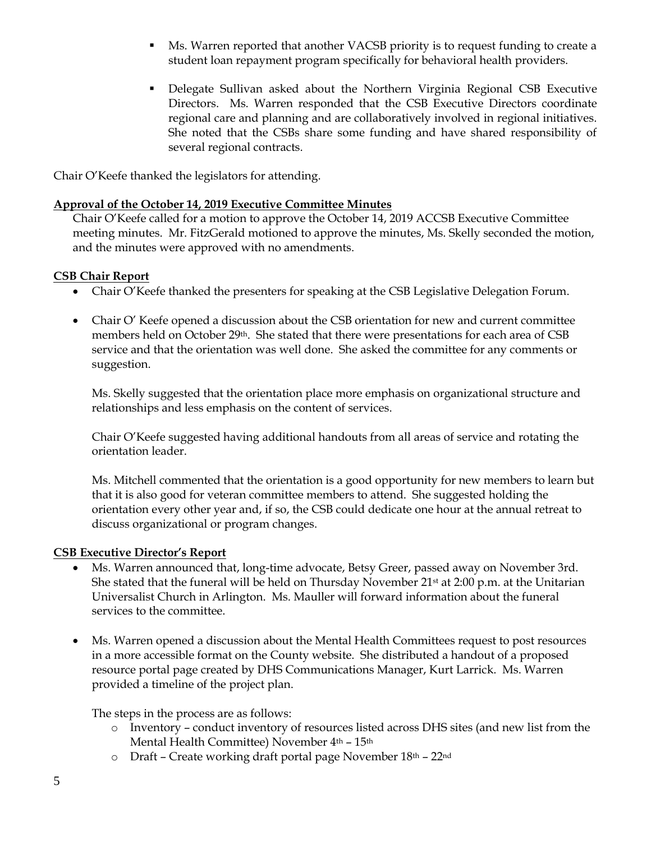- **■** Ms. Warren reported that another VACSB priority is to request funding to create a student loan repayment program specifically for behavioral health providers.
- Delegate Sullivan asked about the Northern Virginia Regional CSB Executive Directors. Ms. Warren responded that the CSB Executive Directors coordinate regional care and planning and are collaboratively involved in regional initiatives. She noted that the CSBs share some funding and have shared responsibility of several regional contracts.

Chair O'Keefe thanked the legislators for attending.

## **Approval of the October 14, 2019 Executive Committee Minutes**

Chair O'Keefe called for a motion to approve the October 14, 2019 ACCSB Executive Committee meeting minutes. Mr. FitzGerald motioned to approve the minutes, Ms. Skelly seconded the motion, and the minutes were approved with no amendments.

#### **CSB Chair Report**

- Chair O'Keefe thanked the presenters for speaking at the CSB Legislative Delegation Forum.
- Chair O' Keefe opened a discussion about the CSB orientation for new and current committee members held on October 29th. She stated that there were presentations for each area of CSB service and that the orientation was well done. She asked the committee for any comments or suggestion.

Ms. Skelly suggested that the orientation place more emphasis on organizational structure and relationships and less emphasis on the content of services.

Chair O'Keefe suggested having additional handouts from all areas of service and rotating the orientation leader.

Ms. Mitchell commented that the orientation is a good opportunity for new members to learn but that it is also good for veteran committee members to attend. She suggested holding the orientation every other year and, if so, the CSB could dedicate one hour at the annual retreat to discuss organizational or program changes.

# **CSB Executive Director's Report**

- Ms. Warren announced that, long-time advocate, Betsy Greer, passed away on November 3rd. She stated that the funeral will be held on Thursday November  $21<sup>st</sup>$  at 2:00 p.m. at the Unitarian Universalist Church in Arlington. Ms. Mauller will forward information about the funeral services to the committee.
- Ms. Warren opened a discussion about the Mental Health Committees request to post resources in a more accessible format on the County website. She distributed a handout of a proposed resource portal page created by DHS Communications Manager, Kurt Larrick. Ms. Warren provided a timeline of the project plan.

The steps in the process are as follows:

- o Inventory conduct inventory of resources listed across DHS sites (and new list from the Mental Health Committee) November 4th – 15th
- o Draft Create working draft portal page November 18th 22nd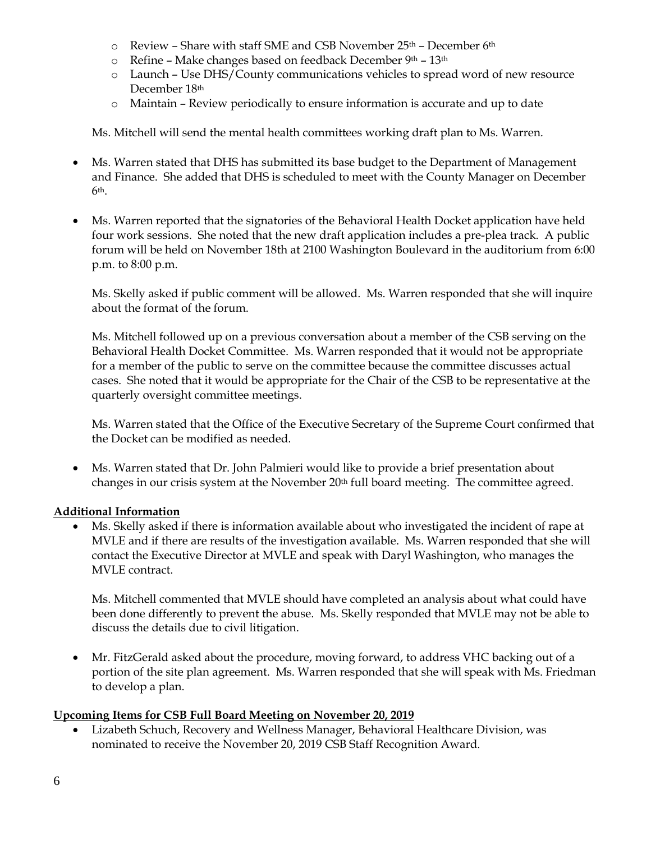- $\circ$  Review Share with staff SME and CSB November 25<sup>th</sup> December 6<sup>th</sup>
- o Refine Make changes based on feedback December 9th 13th
- o Launch Use DHS/County communications vehicles to spread word of new resource December 18<sup>th</sup>
- o Maintain Review periodically to ensure information is accurate and up to date

Ms. Mitchell will send the mental health committees working draft plan to Ms. Warren.

- Ms. Warren stated that DHS has submitted its base budget to the Department of Management and Finance. She added that DHS is scheduled to meet with the County Manager on December  $6<sup>th</sup>$ .
- Ms. Warren reported that the signatories of the Behavioral Health Docket application have held four work sessions. She noted that the new draft application includes a pre-plea track. A public forum will be held on November 18th at 2100 Washington Boulevard in the auditorium from 6:00 p.m. to 8:00 p.m.

Ms. Skelly asked if public comment will be allowed. Ms. Warren responded that she will inquire about the format of the forum.

Ms. Mitchell followed up on a previous conversation about a member of the CSB serving on the Behavioral Health Docket Committee. Ms. Warren responded that it would not be appropriate for a member of the public to serve on the committee because the committee discusses actual cases. She noted that it would be appropriate for the Chair of the CSB to be representative at the quarterly oversight committee meetings.

Ms. Warren stated that the Office of the Executive Secretary of the Supreme Court confirmed that the Docket can be modified as needed.

• Ms. Warren stated that Dr. John Palmieri would like to provide a brief presentation about changes in our crisis system at the November 20<sup>th</sup> full board meeting. The committee agreed.

# **Additional Information**

• Ms. Skelly asked if there is information available about who investigated the incident of rape at MVLE and if there are results of the investigation available. Ms. Warren responded that she will contact the Executive Director at MVLE and speak with Daryl Washington, who manages the MVLE contract.

Ms. Mitchell commented that MVLE should have completed an analysis about what could have been done differently to prevent the abuse. Ms. Skelly responded that MVLE may not be able to discuss the details due to civil litigation.

• Mr. FitzGerald asked about the procedure, moving forward, to address VHC backing out of a portion of the site plan agreement. Ms. Warren responded that she will speak with Ms. Friedman to develop a plan.

# **Upcoming Items for CSB Full Board Meeting on November 20, 2019**

• Lizabeth Schuch, Recovery and Wellness Manager, Behavioral Healthcare Division, was nominated to receive the November 20, 2019 CSB Staff Recognition Award.